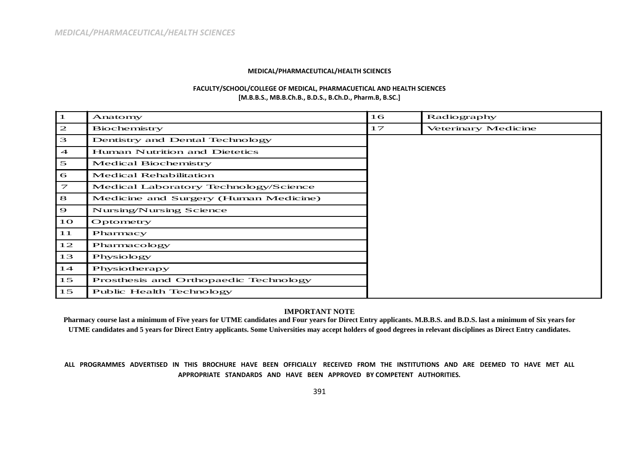## **MEDICAL/PHARMACEUTICAL/HEALTH SCIENCES**

## **FACULTY/SCHOOL/COLLEGE OF MEDICAL, PHARMACUETICAL AND HEALTH SCIENCES [M.B.B.S., MB.B.Ch.B., B.D.S., B.Ch.D., Pharm.B, B.SC.]**

| -1                      | Anatomy                               | 16 | Radiography         |
|-------------------------|---------------------------------------|----|---------------------|
| $\mathbf{z}$            | Biochemistry                          | 17 | Veterinary Medicine |
| 3                       | Dentistry and Dental Technology       |    |                     |
| $\overline{4}$          | Human Nutrition and Dietetics         |    |                     |
| $\mathfrak{S}$          | <b>Medical Biochemistry</b>           |    |                     |
| $\sigma$                | <b>Medical Rehabilitation</b>         |    |                     |
| $\overline{\mathbf{z}}$ | Medical Laboratory Technology/Science |    |                     |
| 8                       | Medicine and Surgery (Human Medicine) |    |                     |
| $\mathbf{\Theta}$       | Nursing/Nursing Science               |    |                     |
| 10 <sub>o</sub>         | Optometry                             |    |                     |
| 11                      | Pharmacy                              |    |                     |
| 12                      | Pharmacology                          |    |                     |
| 13                      | Physiology                            |    |                     |
| 14                      | Physiotherapy                         |    |                     |
| 15                      | Prosthesis and Orthopaedic Technology |    |                     |
| 15                      | Public Health Technology              |    |                     |

## **IMPORTANT NOTE**

**Pharmacy course last a minimum of Five years for UTME candidates and Four years for Direct Entry applicants. M.B.B.S. and B.D.S. last a minimum of Six years for UTME candidates and 5 years for Direct Entry applicants. Some Universities may accept holders of good degrees in relevant disciplines as Direct Entry candidates.**

## **ALL PROGRAMMES ADVERTISED IN THIS BROCHURE HAVE BEEN OFFICIALLY RECEIVED FROM THE INSTITUTIONS AND ARE DEEMED TO HAVE MET ALL APPROPRIATE STANDARDS AND HAVE BEEN APPROVED BY COMPETENT AUTHORITIES.**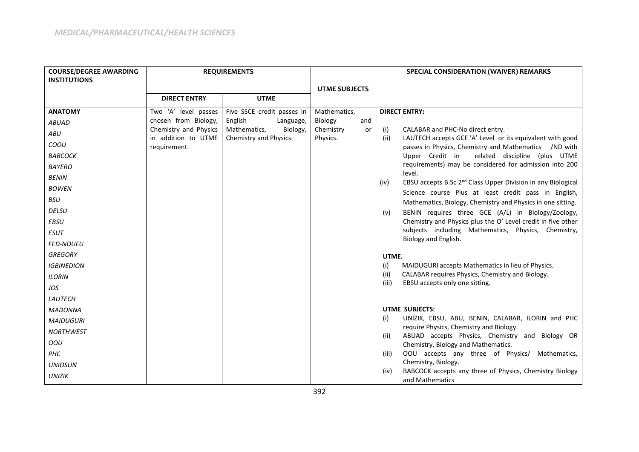| <b>COURSE/DEGREE AWARDING</b> |                                              | <b>REQUIREMENTS</b>                                |                             | SPECIAL CONSIDERATION (WAIVER) REMARKS |                                                                                               |
|-------------------------------|----------------------------------------------|----------------------------------------------------|-----------------------------|----------------------------------------|-----------------------------------------------------------------------------------------------|
| <b>INSTITUTIONS</b>           |                                              |                                                    |                             |                                        |                                                                                               |
|                               |                                              |                                                    | <b>UTME SUBJECTS</b>        |                                        |                                                                                               |
|                               | <b>DIRECT ENTRY</b>                          | <b>UTME</b>                                        |                             |                                        |                                                                                               |
| <b>ANATOMY</b>                | Two 'A' level passes                         | Five SSCE credit passes in                         | Mathematics,                |                                        | <b>DIRECT ENTRY:</b>                                                                          |
| <b>ABUAD</b>                  | chosen from Biology,                         | English<br>Language,                               | Biology<br>and              |                                        |                                                                                               |
| ABU                           | Chemistry and Physics<br>in addition to UTME | Mathematics,<br>Biology,<br>Chemistry and Physics. | Chemistry<br>or<br>Physics. | (i)<br>(ii)                            | CALABAR and PHC-No direct entry.<br>LAUTECH accepts GCE 'A' Level or its equivalent with good |
| COOU                          | requirement.                                 |                                                    |                             |                                        | passes in Physics, Chemistry and Mathematics /ND with                                         |
| <b>BABCOCK</b>                |                                              |                                                    |                             |                                        | Upper Credit in<br>related discipline (plus UTME                                              |
| <b>BAYERO</b>                 |                                              |                                                    |                             |                                        | requirements) may be considered for admission into 200<br>level.                              |
| <b>BENIN</b>                  |                                              |                                                    |                             | (iv)                                   | EBSU accepts B.Sc 2 <sup>nd</sup> Class Upper Division in any Biological                      |
| <b>BOWEN</b>                  |                                              |                                                    |                             |                                        | Science course Plus at least credit pass in English,                                          |
| <b>BSU</b>                    |                                              |                                                    |                             |                                        | Mathematics, Biology, Chemistry and Physics in one sitting.                                   |
| <b>DELSU</b>                  |                                              |                                                    |                             | (v)                                    | BENIN requires three GCE (A/L) in Biology/Zoology,                                            |
| <b>EBSU</b>                   |                                              |                                                    |                             |                                        | Chemistry and Physics plus the O' Level credit in five other                                  |
| <b>ESUT</b>                   |                                              |                                                    |                             |                                        | subjects including Mathematics, Physics, Chemistry,<br>Biology and English.                   |
| <b>FED-NDUFU</b>              |                                              |                                                    |                             |                                        |                                                                                               |
| <b>GREGORY</b>                |                                              |                                                    |                             | UTME.                                  |                                                                                               |
| <b>IGBINEDION</b>             |                                              |                                                    |                             | (i)                                    | MAIDUGURI accepts Mathematics in lieu of Physics.                                             |
| <b>ILORIN</b>                 |                                              |                                                    |                             | (ii)                                   | CALABAR requires Physics, Chemistry and Biology.                                              |
| JOS                           |                                              |                                                    |                             | (iii)                                  | EBSU accepts only one sitting.                                                                |
| LAUTECH                       |                                              |                                                    |                             |                                        |                                                                                               |
| <b>MADONNA</b>                |                                              |                                                    |                             |                                        | <b>UTME SUBJECTS:</b>                                                                         |
| <b>MAIDUGURI</b>              |                                              |                                                    |                             | (i)                                    | UNIZIK, EBSU, ABU, BENIN, CALABAR, ILORIN and PHC                                             |
| <b>NORTHWEST</b>              |                                              |                                                    |                             | (ii)                                   | require Physics, Chemistry and Biology.<br>ABUAD accepts Physics, Chemistry and Biology OR    |
| OOU                           |                                              |                                                    |                             |                                        | Chemistry, Biology and Mathematics.                                                           |
| PHC                           |                                              |                                                    |                             | (iii)                                  | OOU accepts any three of Physics/ Mathematics,                                                |
| <b>UNIOSUN</b>                |                                              |                                                    |                             |                                        | Chemistry, Biology.                                                                           |
| <b>UNIZIK</b>                 |                                              |                                                    |                             | (iv)                                   | BABCOCK accepts any three of Physics, Chemistry Biology<br>and Mathematics                    |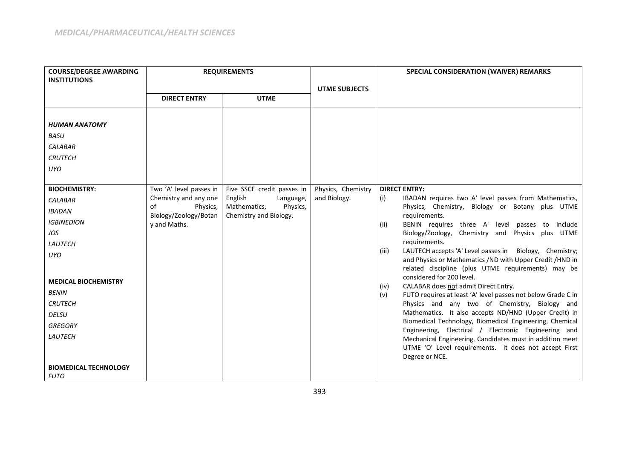| <b>COURSE/DEGREE AWARDING</b> | <b>REQUIREMENTS</b>                     |                                                  |                      | SPECIAL CONSIDERATION (WAIVER) REMARKS                                                                          |
|-------------------------------|-----------------------------------------|--------------------------------------------------|----------------------|-----------------------------------------------------------------------------------------------------------------|
| <b>INSTITUTIONS</b>           |                                         |                                                  |                      |                                                                                                                 |
|                               | <b>DIRECT ENTRY</b>                     | <b>UTME</b>                                      | <b>UTME SUBJECTS</b> |                                                                                                                 |
|                               |                                         |                                                  |                      |                                                                                                                 |
|                               |                                         |                                                  |                      |                                                                                                                 |
| <b>HUMAN ANATOMY</b>          |                                         |                                                  |                      |                                                                                                                 |
| <b>BASU</b>                   |                                         |                                                  |                      |                                                                                                                 |
| <b>CALABAR</b>                |                                         |                                                  |                      |                                                                                                                 |
| <b>CRUTECH</b>                |                                         |                                                  |                      |                                                                                                                 |
| <b>UYO</b>                    |                                         |                                                  |                      |                                                                                                                 |
|                               |                                         |                                                  |                      |                                                                                                                 |
| <b>BIOCHEMISTRY:</b>          | Two 'A' level passes in                 | Five SSCE credit passes in                       | Physics, Chemistry   | <b>DIRECT ENTRY:</b>                                                                                            |
| <b>CALABAR</b>                | Chemistry and any one<br>Physics,<br>of | English<br>Language,<br>Mathematics,<br>Physics, | and Biology.         | IBADAN requires two A' level passes from Mathematics,<br>(i)<br>Physics, Chemistry, Biology or Botany plus UTME |
| <b>IBADAN</b>                 | Biology/Zoology/Botan                   | Chemistry and Biology.                           |                      | requirements.                                                                                                   |
| <b>IGBINEDION</b>             | y and Maths.                            |                                                  |                      | BENIN requires three A' level passes to include<br>(ii)                                                         |
| JOS                           |                                         |                                                  |                      | Biology/Zoology, Chemistry and Physics plus UTME                                                                |
| LAUTECH                       |                                         |                                                  |                      | requirements.<br>LAUTECH accepts 'A' Level passes in Biology, Chemistry;<br>(iii)                               |
| <b>UYO</b>                    |                                         |                                                  |                      | and Physics or Mathematics /ND with Upper Credit /HND in                                                        |
|                               |                                         |                                                  |                      | related discipline (plus UTME requirements) may be                                                              |
| <b>MEDICAL BIOCHEMISTRY</b>   |                                         |                                                  |                      | considered for 200 level.<br>CALABAR does not admit Direct Entry.<br>(iv)                                       |
| <b>BENIN</b>                  |                                         |                                                  |                      | FUTO requires at least 'A' level passes not below Grade C in<br>(v)                                             |
| <b>CRUTECH</b>                |                                         |                                                  |                      | Physics and any two of Chemistry, Biology and                                                                   |
| <b>DELSU</b>                  |                                         |                                                  |                      | Mathematics. It also accepts ND/HND (Upper Credit) in                                                           |
| <b>GREGORY</b>                |                                         |                                                  |                      | Biomedical Technology, Biomedical Engineering, Chemical<br>Engineering, Electrical / Electronic Engineering and |
| LAUTECH                       |                                         |                                                  |                      | Mechanical Engineering. Candidates must in addition meet                                                        |
|                               |                                         |                                                  |                      | UTME 'O' Level requirements. It does not accept First                                                           |
|                               |                                         |                                                  |                      | Degree or NCE.                                                                                                  |
| <b>BIOMEDICAL TECHNOLOGY</b>  |                                         |                                                  |                      |                                                                                                                 |
| <b>FUTO</b>                   |                                         |                                                  |                      |                                                                                                                 |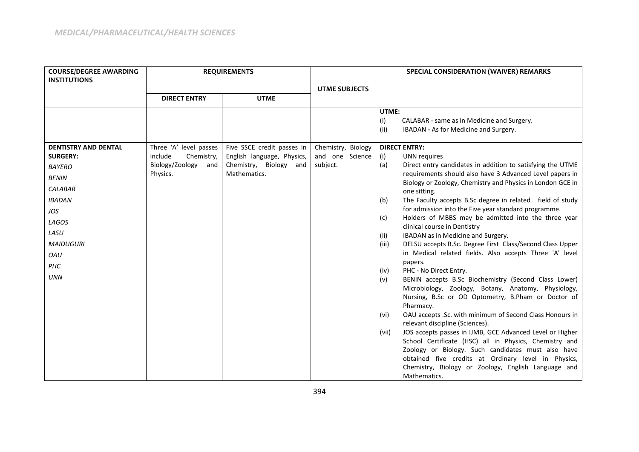| <b>COURSE/DEGREE AWARDING</b>                  | <b>REQUIREMENTS</b>                             |                                                          |                                       | SPECIAL CONSIDERATION (WAIVER) REMARKS |                                                                                             |
|------------------------------------------------|-------------------------------------------------|----------------------------------------------------------|---------------------------------------|----------------------------------------|---------------------------------------------------------------------------------------------|
| <b>INSTITUTIONS</b>                            |                                                 |                                                          |                                       |                                        |                                                                                             |
|                                                |                                                 |                                                          | <b>UTME SUBJECTS</b>                  |                                        |                                                                                             |
|                                                | <b>DIRECT ENTRY</b>                             | <b>UTME</b>                                              |                                       |                                        |                                                                                             |
|                                                |                                                 |                                                          |                                       | UTME:                                  |                                                                                             |
|                                                |                                                 |                                                          |                                       | (i)                                    | CALABAR - same as in Medicine and Surgery.                                                  |
|                                                |                                                 |                                                          |                                       | (ii)                                   | IBADAN - As for Medicine and Surgery.                                                       |
|                                                |                                                 |                                                          |                                       |                                        |                                                                                             |
| <b>DENTISTRY AND DENTAL</b><br><b>SURGERY:</b> | Three 'A' level passes<br>include<br>Chemistry, | Five SSCE credit passes in<br>English language, Physics, | Chemistry, Biology<br>and one Science | <b>DIRECT ENTRY:</b>                   | <b>UNN</b> requires                                                                         |
|                                                | Biology/Zoology<br>and                          | Chemistry, Biology and                                   | subject.                              | (i)<br>(a)                             | Direct entry candidates in addition to satisfying the UTME                                  |
| <b>BAYERO</b>                                  | Physics.                                        | Mathematics.                                             |                                       |                                        | requirements should also have 3 Advanced Level papers in                                    |
| <b>BENIN</b>                                   |                                                 |                                                          |                                       |                                        | Biology or Zoology, Chemistry and Physics in London GCE in                                  |
| <b>CALABAR</b>                                 |                                                 |                                                          |                                       |                                        | one sitting.                                                                                |
| <b>IBADAN</b>                                  |                                                 |                                                          |                                       | (b)                                    | The Faculty accepts B.Sc degree in related field of study                                   |
| JOS                                            |                                                 |                                                          |                                       |                                        | for admission into the Five year standard programme.                                        |
| LAGOS                                          |                                                 |                                                          |                                       | (c)                                    | Holders of MBBS may be admitted into the three year<br>clinical course in Dentistry         |
| LASU                                           |                                                 |                                                          |                                       | (ii)                                   | IBADAN as in Medicine and Surgery.                                                          |
| <b>MAIDUGURI</b>                               |                                                 |                                                          |                                       | (iii)                                  | DELSU accepts B.Sc. Degree First Class/Second Class Upper                                   |
| OAU                                            |                                                 |                                                          |                                       |                                        | in Medical related fields. Also accepts Three 'A' level                                     |
| PHC                                            |                                                 |                                                          |                                       |                                        | papers.                                                                                     |
|                                                |                                                 |                                                          |                                       | (iv)                                   | PHC - No Direct Entry.                                                                      |
| <b>UNN</b>                                     |                                                 |                                                          |                                       | (v)                                    | BENIN accepts B.Sc Biochemistry (Second Class Lower)                                        |
|                                                |                                                 |                                                          |                                       |                                        | Microbiology, Zoology, Botany, Anatomy, Physiology,                                         |
|                                                |                                                 |                                                          |                                       |                                        | Nursing, B.Sc or OD Optometry, B.Pham or Doctor of                                          |
|                                                |                                                 |                                                          |                                       |                                        | Pharmacy.                                                                                   |
|                                                |                                                 |                                                          |                                       | (vi)                                   | OAU accepts .Sc. with minimum of Second Class Honours in<br>relevant discipline (Sciences). |
|                                                |                                                 |                                                          |                                       | (vii)                                  | JOS accepts passes in IJMB, GCE Advanced Level or Higher                                    |
|                                                |                                                 |                                                          |                                       |                                        | School Certificate (HSC) all in Physics, Chemistry and                                      |
|                                                |                                                 |                                                          |                                       |                                        | Zoology or Biology. Such candidates must also have                                          |
|                                                |                                                 |                                                          |                                       |                                        | obtained five credits at Ordinary level in Physics,                                         |
|                                                |                                                 |                                                          |                                       |                                        | Chemistry, Biology or Zoology, English Language and                                         |
|                                                |                                                 |                                                          |                                       |                                        | Mathematics.                                                                                |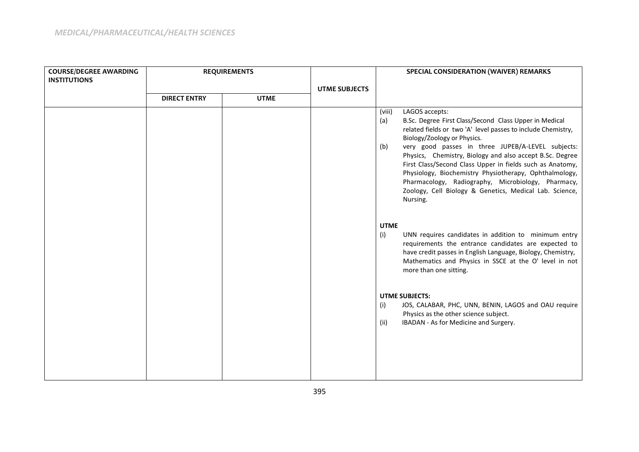| <b>COURSE/DEGREE AWARDING</b> | <b>REQUIREMENTS</b> |             |                      |                      |                                                                                                                                                                                                                                                                                                                                                                                                                                                                                                                                              | SPECIAL CONSIDERATION (WAIVER) REMARKS |  |  |
|-------------------------------|---------------------|-------------|----------------------|----------------------|----------------------------------------------------------------------------------------------------------------------------------------------------------------------------------------------------------------------------------------------------------------------------------------------------------------------------------------------------------------------------------------------------------------------------------------------------------------------------------------------------------------------------------------------|----------------------------------------|--|--|
| <b>INSTITUTIONS</b>           |                     |             |                      |                      |                                                                                                                                                                                                                                                                                                                                                                                                                                                                                                                                              |                                        |  |  |
|                               |                     |             | <b>UTME SUBJECTS</b> |                      |                                                                                                                                                                                                                                                                                                                                                                                                                                                                                                                                              |                                        |  |  |
|                               | <b>DIRECT ENTRY</b> | <b>UTME</b> |                      |                      |                                                                                                                                                                                                                                                                                                                                                                                                                                                                                                                                              |                                        |  |  |
|                               |                     |             |                      | (viii)<br>(a)<br>(b) | LAGOS accepts:<br>B.Sc. Degree First Class/Second Class Upper in Medical<br>related fields or two 'A' level passes to include Chemistry,<br>Biology/Zoology or Physics.<br>very good passes in three JUPEB/A-LEVEL subjects:<br>Physics, Chemistry, Biology and also accept B.Sc. Degree<br>First Class/Second Class Upper in fields such as Anatomy,<br>Physiology, Biochemistry Physiotherapy, Ophthalmology,<br>Pharmacology, Radiography, Microbiology, Pharmacy,<br>Zoology, Cell Biology & Genetics, Medical Lab. Science,<br>Nursing. |                                        |  |  |
|                               |                     |             |                      | <b>UTME</b><br>(i)   | UNN requires candidates in addition to minimum entry<br>requirements the entrance candidates are expected to<br>have credit passes in English Language, Biology, Chemistry,<br>Mathematics and Physics in SSCE at the O' level in not<br>more than one sitting.                                                                                                                                                                                                                                                                              |                                        |  |  |
|                               |                     |             |                      | (i)<br>(ii)          | <b>UTME SUBJECTS:</b><br>JOS, CALABAR, PHC, UNN, BENIN, LAGOS and OAU require<br>Physics as the other science subject.<br>IBADAN - As for Medicine and Surgery.                                                                                                                                                                                                                                                                                                                                                                              |                                        |  |  |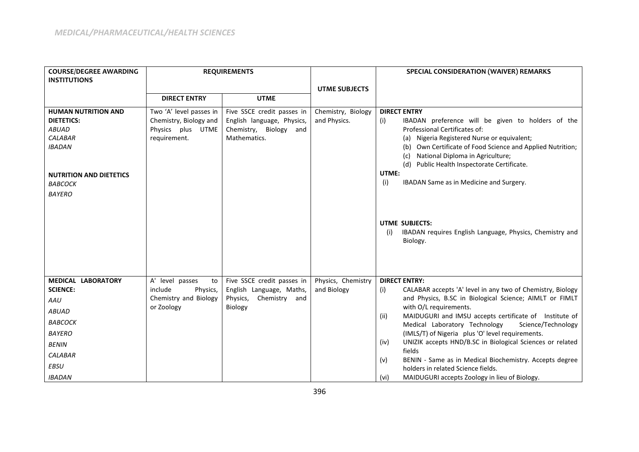| <b>COURSE/DEGREE AWARDING</b>                | <b>REQUIREMENTS</b>               |                                                        |                                   | <b>SPECIAL CONSIDERATION (WAIVER) REMARKS</b>                                                                |  |  |
|----------------------------------------------|-----------------------------------|--------------------------------------------------------|-----------------------------------|--------------------------------------------------------------------------------------------------------------|--|--|
| <b>INSTITUTIONS</b>                          |                                   |                                                        |                                   |                                                                                                              |  |  |
|                                              | <b>DIRECT ENTRY</b>               | <b>UTME</b>                                            | <b>UTME SUBJECTS</b>              |                                                                                                              |  |  |
|                                              |                                   |                                                        |                                   |                                                                                                              |  |  |
| <b>HUMAN NUTRITION AND</b>                   | Two 'A' level passes in           | Five SSCE credit passes in                             | Chemistry, Biology                | <b>DIRECT ENTRY</b>                                                                                          |  |  |
| <b>DIETETICS:</b>                            | Chemistry, Biology and            | English language, Physics,                             | and Physics.                      | IBADAN preference will be given to holders of the<br>(i)                                                     |  |  |
| <b>ABUAD</b><br><b>CALABAR</b>               | Physics plus UTME                 | Chemistry, Biology and<br>Mathematics.                 |                                   | Professional Certificates of:                                                                                |  |  |
| <b>IBADAN</b>                                | requirement.                      |                                                        |                                   | Nigeria Registered Nurse or equivalent;<br>(a)<br>(b) Own Certificate of Food Science and Applied Nutrition; |  |  |
|                                              |                                   |                                                        |                                   | National Diploma in Agriculture;<br>(c)                                                                      |  |  |
|                                              |                                   |                                                        |                                   | (d) Public Health Inspectorate Certificate.                                                                  |  |  |
| <b>NUTRITION AND DIETETICS</b>               |                                   |                                                        |                                   | UTME:                                                                                                        |  |  |
| <b>BABCOCK</b>                               |                                   |                                                        |                                   | IBADAN Same as in Medicine and Surgery.<br>(i)                                                               |  |  |
| <b>BAYERO</b>                                |                                   |                                                        |                                   |                                                                                                              |  |  |
|                                              |                                   |                                                        |                                   |                                                                                                              |  |  |
|                                              |                                   |                                                        |                                   |                                                                                                              |  |  |
|                                              |                                   |                                                        |                                   | <b>UTME SUBJECTS:</b>                                                                                        |  |  |
|                                              |                                   |                                                        |                                   | IBADAN requires English Language, Physics, Chemistry and<br>(i)                                              |  |  |
|                                              |                                   |                                                        |                                   | Biology.                                                                                                     |  |  |
|                                              |                                   |                                                        |                                   |                                                                                                              |  |  |
|                                              |                                   |                                                        |                                   |                                                                                                              |  |  |
|                                              |                                   |                                                        |                                   |                                                                                                              |  |  |
| <b>MEDICAL LABORATORY</b><br><b>SCIENCE:</b> | A' level passes<br>to<br>include  | Five SSCE credit passes in<br>English Language, Maths, | Physics, Chemistry<br>and Biology | <b>DIRECT ENTRY:</b><br>CALABAR accepts 'A' level in any two of Chemistry, Biology                           |  |  |
|                                              | Physics,<br>Chemistry and Biology | Physics,<br>Chemistry and                              |                                   | (i)<br>and Physics, B.SC in Biological Science; AIMLT or FIMLT                                               |  |  |
| AAU                                          | or Zoology                        | Biology                                                |                                   | with O/L requirements.                                                                                       |  |  |
| <b>ABUAD</b>                                 |                                   |                                                        |                                   | MAIDUGURI and IMSU accepts certificate of Institute of<br>(ii)                                               |  |  |
| ВАВСОСК                                      |                                   |                                                        |                                   | Medical Laboratory Technology<br>Science/Technology                                                          |  |  |
| <b>BAYERO</b>                                |                                   |                                                        |                                   | (IMLS/T) of Nigeria plus 'O' level requirements.                                                             |  |  |
| <b>BENIN</b>                                 |                                   |                                                        |                                   | UNIZIK accepts HND/B.SC in Biological Sciences or related<br>(iv)                                            |  |  |
| <b>CALABAR</b>                               |                                   |                                                        |                                   | fields                                                                                                       |  |  |
| <b>EBSU</b>                                  |                                   |                                                        |                                   | BENIN - Same as in Medical Biochemistry. Accepts degree<br>(v)<br>holders in related Science fields.         |  |  |
| <b>IBADAN</b>                                |                                   |                                                        |                                   | MAIDUGURI accepts Zoology in lieu of Biology.<br>(vi)                                                        |  |  |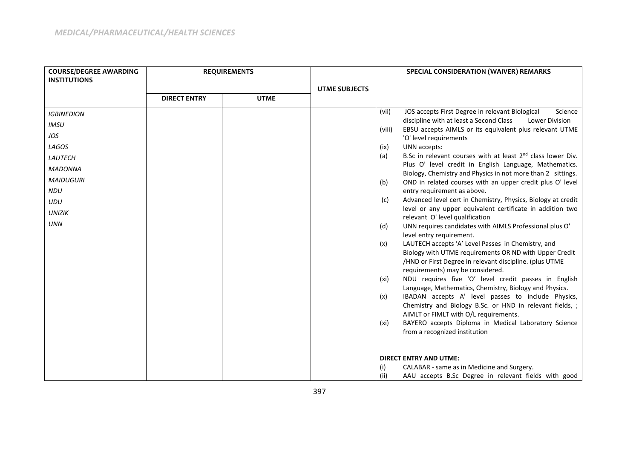| <b>COURSE/DEGREE AWARDING</b><br><b>INSTITUTIONS</b> | <b>REQUIREMENTS</b> |             |                      |        |                                                                                                   | SPECIAL CONSIDERATION (WAIVER) REMARKS |  |  |
|------------------------------------------------------|---------------------|-------------|----------------------|--------|---------------------------------------------------------------------------------------------------|----------------------------------------|--|--|
|                                                      |                     |             | <b>UTME SUBJECTS</b> |        |                                                                                                   |                                        |  |  |
|                                                      | <b>DIRECT ENTRY</b> | <b>UTME</b> |                      |        |                                                                                                   |                                        |  |  |
| <b>IGBINEDION</b>                                    |                     |             |                      | (vii)  | JOS accepts First Degree in relevant Biological<br>Science                                        |                                        |  |  |
| <b>IMSU</b>                                          |                     |             |                      |        | discipline with at least a Second Class<br>Lower Division                                         |                                        |  |  |
| JOS                                                  |                     |             |                      | (viii) | EBSU accepts AIMLS or its equivalent plus relevant UTME<br>'O' level requirements                 |                                        |  |  |
| LAGOS                                                |                     |             |                      | (ix)   | UNN accepts:                                                                                      |                                        |  |  |
| LAUTECH                                              |                     |             |                      | (a)    | B.Sc in relevant courses with at least 2 <sup>nd</sup> class lower Div.                           |                                        |  |  |
| <b>MADONNA</b>                                       |                     |             |                      |        | Plus O' level credit in English Language, Mathematics.                                            |                                        |  |  |
| <b>MAIDUGURI</b>                                     |                     |             |                      |        | Biology, Chemistry and Physics in not more than 2 sittings.                                       |                                        |  |  |
| <b>NDU</b>                                           |                     |             |                      | (b)    | OND in related courses with an upper credit plus O' level<br>entry requirement as above.          |                                        |  |  |
| <b>UDU</b>                                           |                     |             |                      | (c)    | Advanced level cert in Chemistry, Physics, Biology at credit                                      |                                        |  |  |
|                                                      |                     |             |                      |        | level or any upper equivalent certificate in addition two                                         |                                        |  |  |
| <b>UNIZIK</b>                                        |                     |             |                      |        | relevant O' level qualification                                                                   |                                        |  |  |
| <b>UNN</b>                                           |                     |             |                      | (d)    | UNN requires candidates with AIMLS Professional plus O'                                           |                                        |  |  |
|                                                      |                     |             |                      |        | level entry requirement.<br>LAUTECH accepts 'A' Level Passes in Chemistry, and                    |                                        |  |  |
|                                                      |                     |             |                      | (x)    | Biology with UTME requirements OR ND with Upper Credit                                            |                                        |  |  |
|                                                      |                     |             |                      |        | /HND or First Degree in relevant discipline. (plus UTME                                           |                                        |  |  |
|                                                      |                     |             |                      |        | requirements) may be considered.                                                                  |                                        |  |  |
|                                                      |                     |             |                      | (xi)   | NDU requires five 'O' level credit passes in English                                              |                                        |  |  |
|                                                      |                     |             |                      |        | Language, Mathematics, Chemistry, Biology and Physics.                                            |                                        |  |  |
|                                                      |                     |             |                      | (x)    | IBADAN accepts A' level passes to include Physics,                                                |                                        |  |  |
|                                                      |                     |             |                      |        | Chemistry and Biology B.Sc. or HND in relevant fields, ;<br>AIMLT or FIMLT with O/L requirements. |                                        |  |  |
|                                                      |                     |             |                      | (xi)   | BAYERO accepts Diploma in Medical Laboratory Science                                              |                                        |  |  |
|                                                      |                     |             |                      |        | from a recognized institution                                                                     |                                        |  |  |
|                                                      |                     |             |                      |        |                                                                                                   |                                        |  |  |
|                                                      |                     |             |                      |        |                                                                                                   |                                        |  |  |
|                                                      |                     |             |                      | (i)    | <b>DIRECT ENTRY AND UTME:</b><br>CALABAR - same as in Medicine and Surgery.                       |                                        |  |  |
|                                                      |                     |             |                      | (ii)   | AAU accepts B.Sc Degree in relevant fields with good                                              |                                        |  |  |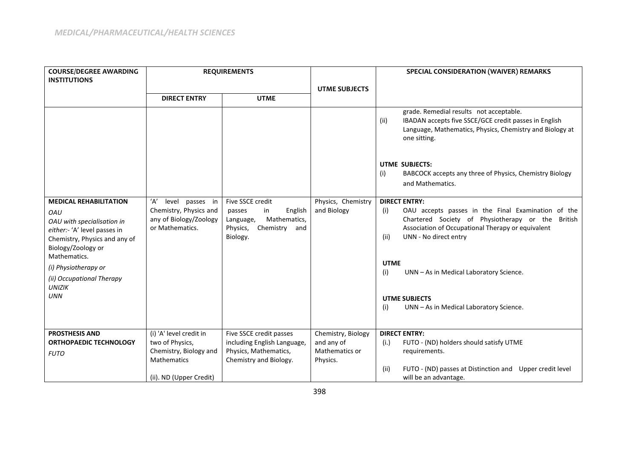| <b>COURSE/DEGREE AWARDING</b><br><b>INSTITUTIONS</b>                                                                                                                                                                                                          | <b>REQUIREMENTS</b>                                                                                                   |                                                                                                                   |                                                                | <b>SPECIAL CONSIDERATION (WAIVER) REMARKS</b>                                                                                                                                                                                                                                                                                                                           |
|---------------------------------------------------------------------------------------------------------------------------------------------------------------------------------------------------------------------------------------------------------------|-----------------------------------------------------------------------------------------------------------------------|-------------------------------------------------------------------------------------------------------------------|----------------------------------------------------------------|-------------------------------------------------------------------------------------------------------------------------------------------------------------------------------------------------------------------------------------------------------------------------------------------------------------------------------------------------------------------------|
|                                                                                                                                                                                                                                                               |                                                                                                                       |                                                                                                                   | <b>UTME SUBJECTS</b>                                           |                                                                                                                                                                                                                                                                                                                                                                         |
|                                                                                                                                                                                                                                                               | <b>DIRECT ENTRY</b>                                                                                                   | <b>UTME</b>                                                                                                       |                                                                |                                                                                                                                                                                                                                                                                                                                                                         |
|                                                                                                                                                                                                                                                               |                                                                                                                       |                                                                                                                   |                                                                | grade. Remedial results not acceptable.<br>IBADAN accepts five SSCE/GCE credit passes in English<br>(ii)<br>Language, Mathematics, Physics, Chemistry and Biology at<br>one sitting.                                                                                                                                                                                    |
|                                                                                                                                                                                                                                                               |                                                                                                                       |                                                                                                                   |                                                                | <b>UTME SUBJECTS:</b><br>BABCOCK accepts any three of Physics, Chemistry Biology<br>(i)<br>and Mathematics.                                                                                                                                                                                                                                                             |
| <b>MEDICAL REHABILITATION</b><br>OAU<br>OAU with specialisation in<br>either:- 'A' level passes in<br>Chemistry, Physics and any of<br>Biology/Zoology or<br>Mathematics.<br>(i) Physiotherapy or<br>(ii) Occupational Therapy<br><b>UNIZIK</b><br><b>UNN</b> | 'Α'<br>level passes in<br>Chemistry, Physics and<br>any of Biology/Zoology<br>or Mathematics.                         | Five SSCE credit<br>English<br>passes<br>in<br>Mathematics,<br>Language,<br>Physics,<br>Chemistry and<br>Biology. | Physics, Chemistry<br>and Biology                              | <b>DIRECT ENTRY:</b><br>OAU accepts passes in the Final Examination of the<br>(i)<br>Chartered Society of Physiotherapy or the British<br>Association of Occupational Therapy or equivalent<br>UNN - No direct entry<br>(ii)<br><b>UTME</b><br>(i)<br>UNN - As in Medical Laboratory Science.<br><b>UTME SUBJECTS</b><br>UNN - As in Medical Laboratory Science.<br>(i) |
| <b>PROSTHESIS AND</b><br><b>ORTHOPAEDIC TECHNOLOGY</b><br><b>FUTO</b>                                                                                                                                                                                         | (i) 'A' level credit in<br>two of Physics,<br>Chemistry, Biology and<br><b>Mathematics</b><br>(ii). ND (Upper Credit) | Five SSCE credit passes<br>including English Language,<br>Physics, Mathematics,<br>Chemistry and Biology.         | Chemistry, Biology<br>and any of<br>Mathematics or<br>Physics. | <b>DIRECT ENTRY:</b><br>FUTO - (ND) holders should satisfy UTME<br>(i.)<br>requirements.<br>(ii)<br>FUTO - (ND) passes at Distinction and Upper credit level<br>will be an advantage.                                                                                                                                                                                   |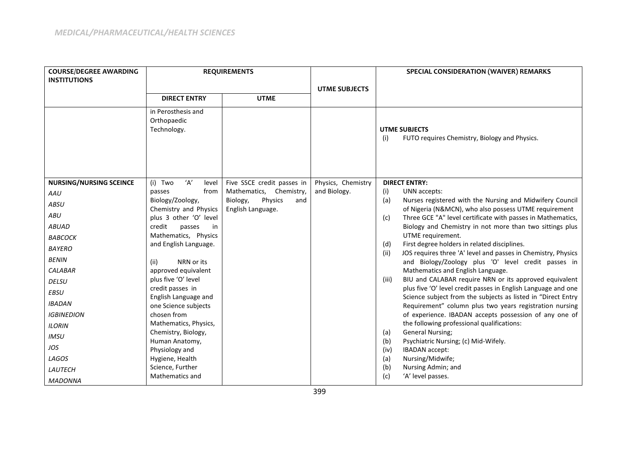| <b>COURSE/DEGREE AWARDING</b><br><b>INSTITUTIONS</b>                                                                                                                                                                                                                                                      | <b>REQUIREMENTS</b>                                                                                                                                                                                                                                                                                                                                                                                                                                                                                     |                                                                                                          |                                    | <b>SPECIAL CONSIDERATION (WAIVER) REMARKS</b>                                                                                                                                                                                                                                                                                                                                                                                                                                                                                                                                                                                                                                                                                                                                                                                                                                                                                                                                                                                                                                                                                           |  |  |
|-----------------------------------------------------------------------------------------------------------------------------------------------------------------------------------------------------------------------------------------------------------------------------------------------------------|---------------------------------------------------------------------------------------------------------------------------------------------------------------------------------------------------------------------------------------------------------------------------------------------------------------------------------------------------------------------------------------------------------------------------------------------------------------------------------------------------------|----------------------------------------------------------------------------------------------------------|------------------------------------|-----------------------------------------------------------------------------------------------------------------------------------------------------------------------------------------------------------------------------------------------------------------------------------------------------------------------------------------------------------------------------------------------------------------------------------------------------------------------------------------------------------------------------------------------------------------------------------------------------------------------------------------------------------------------------------------------------------------------------------------------------------------------------------------------------------------------------------------------------------------------------------------------------------------------------------------------------------------------------------------------------------------------------------------------------------------------------------------------------------------------------------------|--|--|
|                                                                                                                                                                                                                                                                                                           | <b>DIRECT ENTRY</b>                                                                                                                                                                                                                                                                                                                                                                                                                                                                                     | <b>UTME</b>                                                                                              | <b>UTME SUBJECTS</b>               |                                                                                                                                                                                                                                                                                                                                                                                                                                                                                                                                                                                                                                                                                                                                                                                                                                                                                                                                                                                                                                                                                                                                         |  |  |
|                                                                                                                                                                                                                                                                                                           | in Perosthesis and<br>Orthopaedic<br>Technology.                                                                                                                                                                                                                                                                                                                                                                                                                                                        |                                                                                                          |                                    | <b>UTME SUBJECTS</b><br>FUTO requires Chemistry, Biology and Physics.<br>(i)                                                                                                                                                                                                                                                                                                                                                                                                                                                                                                                                                                                                                                                                                                                                                                                                                                                                                                                                                                                                                                                            |  |  |
| <b>NURSING/NURSING SCEINCE</b><br>AAU<br><b>ABSU</b><br><b>ABU</b><br><b>ABUAD</b><br><b>BABCOCK</b><br><b>BAYERO</b><br><b>BENIN</b><br><b>CALABAR</b><br><b>DELSU</b><br><b>EBSU</b><br><b>IBADAN</b><br><b>IGBINEDION</b><br><b>ILORIN</b><br><b>IMSU</b><br>JOS<br>LAGOS<br>LAUTECH<br><b>MADONNA</b> | ʻA'<br>(i) Two<br>level<br>from<br>passes<br>Biology/Zoology,<br>Chemistry and Physics<br>plus 3 other 'O' level<br>credit<br>passes<br>in<br>Mathematics, Physics<br>and English Language.<br>NRN or its<br>(ii)<br>approved equivalent<br>plus five 'O' level<br>credit passes in<br>English Language and<br>one Science subjects<br>chosen from<br>Mathematics, Physics,<br>Chemistry, Biology,<br>Human Anatomy,<br>Physiology and<br>Hygiene, Health<br>Science, Further<br><b>Mathematics and</b> | Five SSCE credit passes in<br>Mathematics, Chemistry,<br>Physics<br>Biology,<br>and<br>English Language. | Physics, Chemistry<br>and Biology. | <b>DIRECT ENTRY:</b><br>UNN accepts:<br>(i)<br>Nurses registered with the Nursing and Midwifery Council<br>(a)<br>of Nigeria (N&MCN), who also possess UTME requirement<br>Three GCE "A" level certificate with passes in Mathematics,<br>(c)<br>Biology and Chemistry in not more than two sittings plus<br>UTME requirement.<br>First degree holders in related disciplines.<br>(d)<br>JOS requires three 'A' level and passes in Chemistry, Physics<br>(ii)<br>and Biology/Zoology plus 'O' level credit passes in<br>Mathematics and English Language.<br>BIU and CALABAR require NRN or its approved equivalent<br>(iii)<br>plus five 'O' level credit passes in English Language and one<br>Science subject from the subjects as listed in "Direct Entry<br>Requirement" column plus two years registration nursing<br>of experience. IBADAN accepts possession of any one of<br>the following professional qualifications:<br><b>General Nursing;</b><br>(a)<br>(b)<br>Psychiatric Nursing; (c) Mid-Wifely.<br><b>IBADAN</b> accept:<br>(iv)<br>Nursing/Midwife;<br>(a)<br>Nursing Admin; and<br>(b)<br>'A' level passes.<br>(c) |  |  |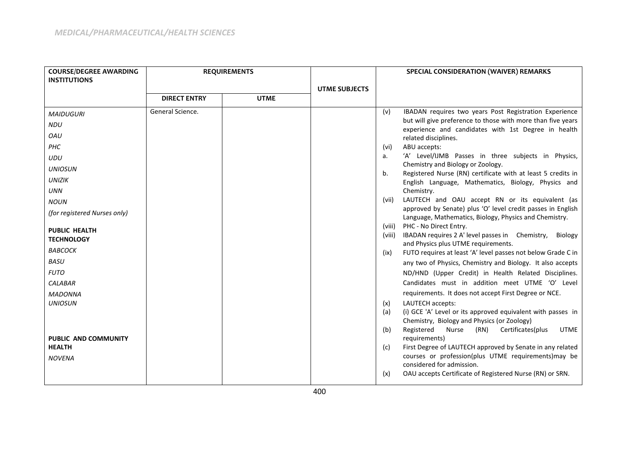| <b>COURSE/DEGREE AWARDING</b> | <b>REQUIREMENTS</b> |             |                      |                  | SPECIAL CONSIDERATION (WAIVER) REMARKS                                                                              |
|-------------------------------|---------------------|-------------|----------------------|------------------|---------------------------------------------------------------------------------------------------------------------|
| <b>INSTITUTIONS</b>           |                     |             |                      |                  |                                                                                                                     |
|                               | <b>DIRECT ENTRY</b> | <b>UTME</b> | <b>UTME SUBJECTS</b> |                  |                                                                                                                     |
|                               |                     |             |                      |                  |                                                                                                                     |
| <b>MAIDUGURI</b>              | General Science.    |             |                      | (v)              | IBADAN requires two years Post Registration Experience                                                              |
| <b>NDU</b>                    |                     |             |                      |                  | but will give preference to those with more than five years<br>experience and candidates with 1st Degree in health  |
| OAU                           |                     |             |                      |                  | related disciplines.                                                                                                |
| PHC                           |                     |             |                      | (vi)             | ABU accepts:                                                                                                        |
| <b>UDU</b>                    |                     |             |                      | a.               | 'A' Level/IJMB Passes in three subjects in Physics,                                                                 |
| <b>UNIOSUN</b>                |                     |             |                      |                  | Chemistry and Biology or Zoology.                                                                                   |
| <b>UNIZIK</b>                 |                     |             |                      | b.               | Registered Nurse (RN) certificate with at least 5 credits in<br>English Language, Mathematics, Biology, Physics and |
| <b>UNN</b>                    |                     |             |                      |                  | Chemistry.                                                                                                          |
| <b>NOUN</b>                   |                     |             |                      | (vii)            | LAUTECH and OAU accept RN or its equivalent (as                                                                     |
| (for registered Nurses only)  |                     |             |                      |                  | approved by Senate) plus 'O' level credit passes in English                                                         |
|                               |                     |             |                      |                  | Language, Mathematics, Biology, Physics and Chemistry.                                                              |
| <b>PUBLIC HEALTH</b>          |                     |             |                      | (viii)<br>(viii) | PHC - No Direct Entry.<br>IBADAN requires 2 A' level passes in Chemistry,<br>Biology                                |
| <b>TECHNOLOGY</b>             |                     |             |                      |                  | and Physics plus UTME requirements.                                                                                 |
| ВАВСОСК                       |                     |             |                      | (ix)             | FUTO requires at least 'A' level passes not below Grade C in                                                        |
| <b>BASU</b>                   |                     |             |                      |                  | any two of Physics, Chemistry and Biology. It also accepts                                                          |
| <b>FUTO</b>                   |                     |             |                      |                  | ND/HND (Upper Credit) in Health Related Disciplines.                                                                |
| <b>CALABAR</b>                |                     |             |                      |                  | Candidates must in addition meet UTME 'O' Level                                                                     |
| <b>MADONNA</b>                |                     |             |                      |                  | requirements. It does not accept First Degree or NCE.                                                               |
| <b>UNIOSUN</b>                |                     |             |                      | (x)              | LAUTECH accepts:                                                                                                    |
|                               |                     |             |                      | (a)              | (i) GCE 'A' Level or its approved equivalent with passes in                                                         |
|                               |                     |             |                      | (b)              | Chemistry, Biology and Physics (or Zoology)<br>Registered<br>(RN)<br>Certificates(plus<br>Nurse<br><b>UTME</b>      |
| <b>PUBLIC AND COMMUNITY</b>   |                     |             |                      |                  | requirements)                                                                                                       |
| <b>HEALTH</b>                 |                     |             |                      | (c)              | First Degree of LAUTECH approved by Senate in any related                                                           |
| <b>NOVENA</b>                 |                     |             |                      |                  | courses or profession(plus UTME requirements) may be                                                                |
|                               |                     |             |                      |                  | considered for admission.                                                                                           |
|                               |                     |             |                      | (x)              | OAU accepts Certificate of Registered Nurse (RN) or SRN.                                                            |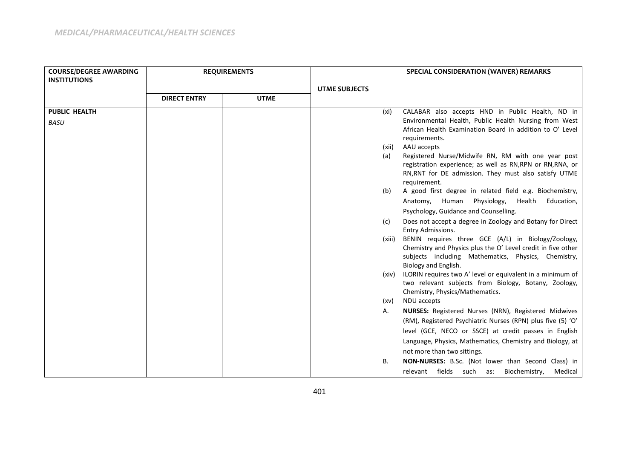| <b>COURSE/DEGREE AWARDING</b> | <b>REQUIREMENTS</b> |             |                      | SPECIAL CONSIDERATION (WAIVER) REMARKS |                                                                                                                                             |  |
|-------------------------------|---------------------|-------------|----------------------|----------------------------------------|---------------------------------------------------------------------------------------------------------------------------------------------|--|
| <b>INSTITUTIONS</b>           |                     |             |                      |                                        |                                                                                                                                             |  |
|                               |                     |             | <b>UTME SUBJECTS</b> |                                        |                                                                                                                                             |  |
|                               | <b>DIRECT ENTRY</b> | <b>UTME</b> |                      |                                        |                                                                                                                                             |  |
| <b>PUBLIC HEALTH</b>          |                     |             |                      | (xi)                                   | CALABAR also accepts HND in Public Health, ND in                                                                                            |  |
| <b>BASU</b>                   |                     |             |                      |                                        | Environmental Health, Public Health Nursing from West<br>African Health Examination Board in addition to O' Level<br>requirements.          |  |
|                               |                     |             |                      | (xii)                                  | AAU accepts                                                                                                                                 |  |
|                               |                     |             |                      | (a)                                    | Registered Nurse/Midwife RN, RM with one year post                                                                                          |  |
|                               |                     |             |                      |                                        | registration experience; as well as RN, RPN or RN, RNA, or                                                                                  |  |
|                               |                     |             |                      |                                        | RN, RNT for DE admission. They must also satisfy UTME                                                                                       |  |
|                               |                     |             |                      |                                        | requirement.                                                                                                                                |  |
|                               |                     |             |                      | (b)                                    | A good first degree in related field e.g. Biochemistry,                                                                                     |  |
|                               |                     |             |                      |                                        | Anatomy, Human Physiology, Health<br>Education,                                                                                             |  |
|                               |                     |             |                      |                                        | Psychology, Guidance and Counselling.                                                                                                       |  |
|                               |                     |             |                      | (c)                                    | Does not accept a degree in Zoology and Botany for Direct<br>Entry Admissions.                                                              |  |
|                               |                     |             |                      | (xiii)                                 | BENIN requires three GCE (A/L) in Biology/Zoology,                                                                                          |  |
|                               |                     |             |                      |                                        | Chemistry and Physics plus the O' Level credit in five other<br>subjects including Mathematics, Physics, Chemistry,<br>Biology and English. |  |
|                               |                     |             |                      | (xiv)                                  | ILORIN requires two A' level or equivalent in a minimum of                                                                                  |  |
|                               |                     |             |                      |                                        | two relevant subjects from Biology, Botany, Zoology,                                                                                        |  |
|                               |                     |             |                      |                                        | Chemistry, Physics/Mathematics.                                                                                                             |  |
|                               |                     |             |                      | (xv)                                   | NDU accepts                                                                                                                                 |  |
|                               |                     |             |                      | А.                                     | <b>NURSES:</b> Registered Nurses (NRN), Registered Midwives                                                                                 |  |
|                               |                     |             |                      |                                        | (RM), Registered Psychiatric Nurses (RPN) plus five (5) 'O'                                                                                 |  |
|                               |                     |             |                      |                                        | level (GCE, NECO or SSCE) at credit passes in English                                                                                       |  |
|                               |                     |             |                      |                                        | Language, Physics, Mathematics, Chemistry and Biology, at                                                                                   |  |
|                               |                     |             |                      |                                        | not more than two sittings.                                                                                                                 |  |
|                               |                     |             |                      | В.                                     | NON-NURSES: B.Sc. (Not lower than Second Class) in                                                                                          |  |
|                               |                     |             |                      |                                        | Biochemistry,<br>Medical<br>relevant fields such as:                                                                                        |  |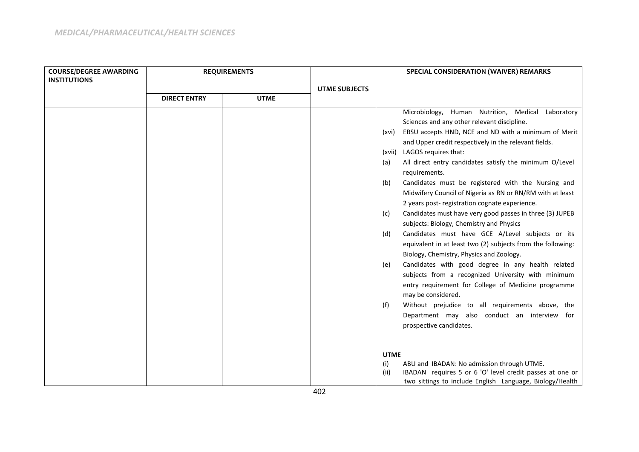| <b>COURSE/DEGREE AWARDING</b> | <b>REQUIREMENTS</b> |             |                      | SPECIAL CONSIDERATION (WAIVER) REMARKS |                                                             |  |
|-------------------------------|---------------------|-------------|----------------------|----------------------------------------|-------------------------------------------------------------|--|
| <b>INSTITUTIONS</b>           |                     |             |                      |                                        |                                                             |  |
|                               |                     |             | <b>UTME SUBJECTS</b> |                                        |                                                             |  |
|                               | <b>DIRECT ENTRY</b> | <b>UTME</b> |                      |                                        |                                                             |  |
|                               |                     |             |                      |                                        | Microbiology, Human Nutrition, Medical Laboratory           |  |
|                               |                     |             |                      |                                        | Sciences and any other relevant discipline.                 |  |
|                               |                     |             |                      | (xvi)                                  | EBSU accepts HND, NCE and ND with a minimum of Merit        |  |
|                               |                     |             |                      |                                        | and Upper credit respectively in the relevant fields.       |  |
|                               |                     |             |                      |                                        | (xvii) LAGOS requires that:                                 |  |
|                               |                     |             |                      | (a)                                    | All direct entry candidates satisfy the minimum O/Level     |  |
|                               |                     |             |                      |                                        | requirements.                                               |  |
|                               |                     |             |                      | (b)                                    | Candidates must be registered with the Nursing and          |  |
|                               |                     |             |                      |                                        | Midwifery Council of Nigeria as RN or RN/RM with at least   |  |
|                               |                     |             |                      |                                        | 2 years post- registration cognate experience.              |  |
|                               |                     |             |                      | (c)                                    | Candidates must have very good passes in three (3) JUPEB    |  |
|                               |                     |             |                      |                                        | subjects: Biology, Chemistry and Physics                    |  |
|                               |                     |             |                      | (d)                                    | Candidates must have GCE A/Level subjects or its            |  |
|                               |                     |             |                      |                                        | equivalent in at least two (2) subjects from the following: |  |
|                               |                     |             |                      |                                        | Biology, Chemistry, Physics and Zoology.                    |  |
|                               |                     |             |                      | (e)                                    | Candidates with good degree in any health related           |  |
|                               |                     |             |                      |                                        | subjects from a recognized University with minimum          |  |
|                               |                     |             |                      |                                        | entry requirement for College of Medicine programme         |  |
|                               |                     |             |                      |                                        | may be considered.                                          |  |
|                               |                     |             |                      | (f)                                    | Without prejudice to all requirements above, the            |  |
|                               |                     |             |                      |                                        | Department may also conduct an interview for                |  |
|                               |                     |             |                      |                                        | prospective candidates.                                     |  |
|                               |                     |             |                      |                                        |                                                             |  |
|                               |                     |             |                      | <b>UTME</b>                            |                                                             |  |
|                               |                     |             |                      | (i)                                    | ABU and IBADAN: No admission through UTME.                  |  |
|                               |                     |             |                      | (ii)                                   | IBADAN requires 5 or 6 'O' level credit passes at one or    |  |
|                               |                     |             |                      |                                        | two sittings to include English Language, Biology/Health    |  |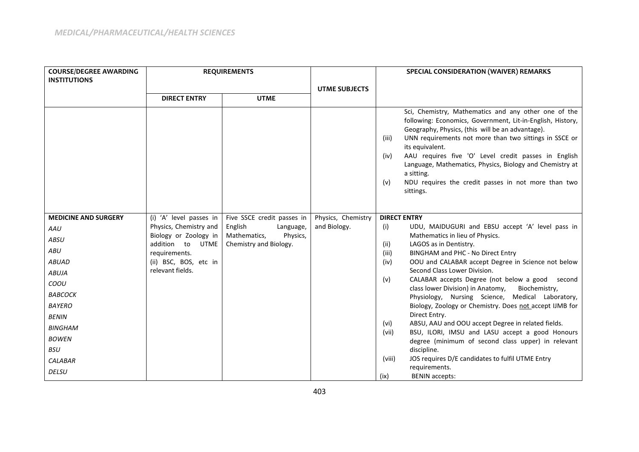| <b>COURSE/DEGREE AWARDING</b> |                                        | <b>REQUIREMENTS</b>        |                      |                      | <b>SPECIAL CONSIDERATION (WAIVER) REMARKS</b>                                                                                                                                                                                                                                                                                                                                                                                                             |
|-------------------------------|----------------------------------------|----------------------------|----------------------|----------------------|-----------------------------------------------------------------------------------------------------------------------------------------------------------------------------------------------------------------------------------------------------------------------------------------------------------------------------------------------------------------------------------------------------------------------------------------------------------|
| <b>INSTITUTIONS</b>           |                                        |                            |                      |                      |                                                                                                                                                                                                                                                                                                                                                                                                                                                           |
|                               |                                        |                            | <b>UTME SUBJECTS</b> |                      |                                                                                                                                                                                                                                                                                                                                                                                                                                                           |
|                               | <b>DIRECT ENTRY</b>                    | <b>UTME</b>                |                      |                      |                                                                                                                                                                                                                                                                                                                                                                                                                                                           |
|                               |                                        |                            |                      | (iii)<br>(iv)<br>(v) | Sci, Chemistry, Mathematics and any other one of the<br>following: Economics, Government, Lit-in-English, History,<br>Geography, Physics, (this will be an advantage).<br>UNN requirements not more than two sittings in SSCE or<br>its equivalent.<br>AAU requires five 'O' Level credit passes in English<br>Language, Mathematics, Physics, Biology and Chemistry at<br>a sitting.<br>NDU requires the credit passes in not more than two<br>sittings. |
| <b>MEDICINE AND SURGERY</b>   | (i) 'A' level passes in                | Five SSCE credit passes in | Physics, Chemistry   |                      | <b>DIRECT ENTRY</b>                                                                                                                                                                                                                                                                                                                                                                                                                                       |
| AAU                           | Physics, Chemistry and                 | English<br>Language,       | and Biology.         | (i)                  | UDU, MAIDUGURI and EBSU accept 'A' level pass in                                                                                                                                                                                                                                                                                                                                                                                                          |
| ABSU                          | Biology or Zoology in                  | Mathematics,<br>Physics,   |                      |                      | Mathematics in lieu of Physics.                                                                                                                                                                                                                                                                                                                                                                                                                           |
| ABU                           | addition to UTME                       | Chemistry and Biology.     |                      | (ii)                 | LAGOS as in Dentistry.                                                                                                                                                                                                                                                                                                                                                                                                                                    |
| <b>ABUAD</b>                  | requirements.<br>(ii) BSC, BOS, etc in |                            |                      | (iii)<br>(iv)        | BINGHAM and PHC - No Direct Entry<br>OOU and CALABAR accept Degree in Science not below                                                                                                                                                                                                                                                                                                                                                                   |
| <b>ABUJA</b>                  | relevant fields.                       |                            |                      |                      | Second Class Lower Division.                                                                                                                                                                                                                                                                                                                                                                                                                              |
| COOU                          |                                        |                            |                      | (v)                  | CALABAR accepts Degree (not below a good second                                                                                                                                                                                                                                                                                                                                                                                                           |
|                               |                                        |                            |                      |                      | class lower Division) in Anatomy,<br>Biochemistry,                                                                                                                                                                                                                                                                                                                                                                                                        |
| ВАВСОСК                       |                                        |                            |                      |                      | Physiology, Nursing Science, Medical Laboratory,                                                                                                                                                                                                                                                                                                                                                                                                          |
| <b>BAYERO</b>                 |                                        |                            |                      |                      | Biology, Zoology or Chemistry. Does not accept IJMB for<br>Direct Entry.                                                                                                                                                                                                                                                                                                                                                                                  |
| <b>BENIN</b>                  |                                        |                            |                      | (vi)                 | ABSU, AAU and OOU accept Degree in related fields.                                                                                                                                                                                                                                                                                                                                                                                                        |
| <b>BINGHAM</b>                |                                        |                            |                      | (vii)                | BSU, ILORI, IMSU and LASU accept a good Honours                                                                                                                                                                                                                                                                                                                                                                                                           |
| <b>BOWEN</b>                  |                                        |                            |                      |                      | degree (minimum of second class upper) in relevant                                                                                                                                                                                                                                                                                                                                                                                                        |
| <b>BSU</b>                    |                                        |                            |                      |                      | discipline.                                                                                                                                                                                                                                                                                                                                                                                                                                               |
| <b>CALABAR</b>                |                                        |                            |                      | (viii)               | JOS requires D/E candidates to fulfil UTME Entry                                                                                                                                                                                                                                                                                                                                                                                                          |
| <b>DELSU</b>                  |                                        |                            |                      | (ix)                 | requirements.<br><b>BENIN accepts:</b>                                                                                                                                                                                                                                                                                                                                                                                                                    |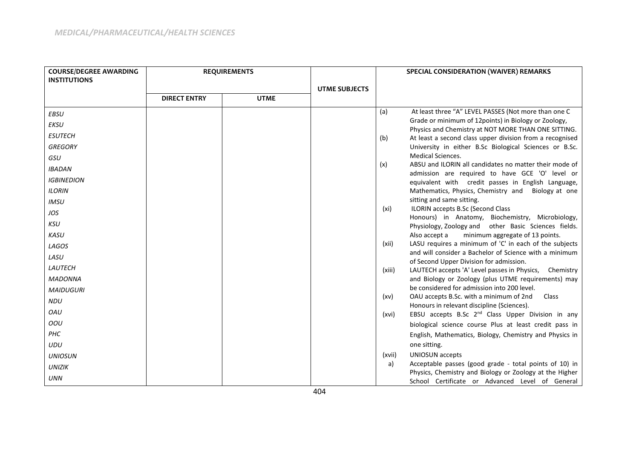| <b>COURSE/DEGREE AWARDING</b> |                     | <b>REQUIREMENTS</b> |                      |        | SPECIAL CONSIDERATION (WAIVER) REMARKS                                                                      |
|-------------------------------|---------------------|---------------------|----------------------|--------|-------------------------------------------------------------------------------------------------------------|
| <b>INSTITUTIONS</b>           |                     |                     |                      |        |                                                                                                             |
|                               |                     |                     | <b>UTME SUBJECTS</b> |        |                                                                                                             |
|                               | <b>DIRECT ENTRY</b> | <b>UTME</b>         |                      |        |                                                                                                             |
| EBSU                          |                     |                     |                      | (a)    | At least three "A" LEVEL PASSES (Not more than one C                                                        |
| EKSU                          |                     |                     |                      |        | Grade or minimum of 12points) in Biology or Zoology,<br>Physics and Chemistry at NOT MORE THAN ONE SITTING. |
| <b>ESUTECH</b>                |                     |                     |                      | (b)    | At least a second class upper division from a recognised                                                    |
| <b>GREGORY</b>                |                     |                     |                      |        | University in either B.Sc Biological Sciences or B.Sc.                                                      |
| GSU                           |                     |                     |                      |        | Medical Sciences.                                                                                           |
| <b>IBADAN</b>                 |                     |                     |                      | (x)    | ABSU and ILORIN all candidates no matter their mode of                                                      |
| <b>IGBINEDION</b>             |                     |                     |                      |        | admission are required to have GCE 'O' level or<br>equivalent with credit passes in English Language,       |
| <b>ILORIN</b>                 |                     |                     |                      |        | Mathematics, Physics, Chemistry and<br>Biology at one                                                       |
| <b>IMSU</b>                   |                     |                     |                      |        | sitting and same sitting.                                                                                   |
| JOS                           |                     |                     |                      | (xi)   | ILORIN accepts B.Sc (Second Class                                                                           |
| KSU                           |                     |                     |                      |        | Honours) in Anatomy, Biochemistry, Microbiology,                                                            |
| <b>KASU</b>                   |                     |                     |                      |        | Physiology, Zoology and other Basic Sciences fields.<br>minimum aggregate of 13 points.<br>Also accept a    |
|                               |                     |                     |                      | (xii)  | LASU requires a minimum of 'C' in each of the subjects                                                      |
| LAGOS                         |                     |                     |                      |        | and will consider a Bachelor of Science with a minimum                                                      |
| LASU                          |                     |                     |                      |        | of Second Upper Division for admission.                                                                     |
| <b>LAUTECH</b>                |                     |                     |                      | (xiii) | LAUTECH accepts 'A' Level passes in Physics, Chemistry                                                      |
| <b>MADONNA</b>                |                     |                     |                      |        | and Biology or Zoology (plus UTME requirements) may                                                         |
| <b>MAIDUGURI</b>              |                     |                     |                      |        | be considered for admission into 200 level.                                                                 |
| NDU                           |                     |                     |                      | (xv)   | OAU accepts B.Sc. with a minimum of 2nd<br>Class                                                            |
| OAU                           |                     |                     |                      | (xvi)  | Honours in relevant discipline (Sciences).<br>EBSU accepts B.Sc 2 <sup>nd</sup> Class Upper Division in any |
| OOU                           |                     |                     |                      |        | biological science course Plus at least credit pass in                                                      |
| PHC                           |                     |                     |                      |        | English, Mathematics, Biology, Chemistry and Physics in                                                     |
| <b>UDU</b>                    |                     |                     |                      |        | one sitting.                                                                                                |
| <b>UNIOSUN</b>                |                     |                     |                      | (xvii) | UNIOSUN accepts                                                                                             |
| <b>UNIZIK</b>                 |                     |                     |                      | a)     | Acceptable passes (good grade - total points of 10) in                                                      |
|                               |                     |                     |                      |        | Physics, Chemistry and Biology or Zoology at the Higher                                                     |
| <b>UNN</b>                    |                     |                     |                      |        | School Certificate or Advanced Level of General                                                             |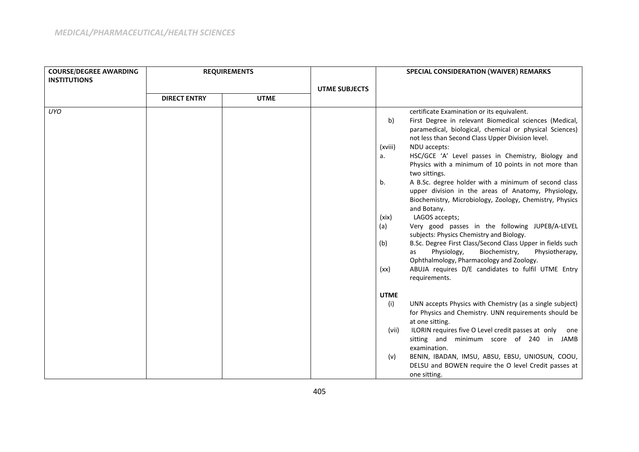| <b>COURSE/DEGREE AWARDING</b> | <b>REQUIREMENTS</b> |             |                      |                                                          | <b>SPECIAL CONSIDERATION (WAIVER) REMARKS</b>                                                                                                                                                                                                                                                                                                                                                                                                                                                                                                                                                                                                                                                                                                                                                                                                                                                                         |
|-------------------------------|---------------------|-------------|----------------------|----------------------------------------------------------|-----------------------------------------------------------------------------------------------------------------------------------------------------------------------------------------------------------------------------------------------------------------------------------------------------------------------------------------------------------------------------------------------------------------------------------------------------------------------------------------------------------------------------------------------------------------------------------------------------------------------------------------------------------------------------------------------------------------------------------------------------------------------------------------------------------------------------------------------------------------------------------------------------------------------|
| <b>INSTITUTIONS</b>           |                     |             |                      |                                                          |                                                                                                                                                                                                                                                                                                                                                                                                                                                                                                                                                                                                                                                                                                                                                                                                                                                                                                                       |
|                               |                     |             | <b>UTME SUBJECTS</b> |                                                          |                                                                                                                                                                                                                                                                                                                                                                                                                                                                                                                                                                                                                                                                                                                                                                                                                                                                                                                       |
|                               | <b>DIRECT ENTRY</b> | <b>UTME</b> |                      |                                                          |                                                                                                                                                                                                                                                                                                                                                                                                                                                                                                                                                                                                                                                                                                                                                                                                                                                                                                                       |
| <b>UYO</b>                    |                     |             |                      | b)<br>(xviii)<br>a.<br>b.<br>(xix)<br>(a)<br>(b)<br>(xx) | certificate Examination or its equivalent.<br>First Degree in relevant Biomedical sciences (Medical,<br>paramedical, biological, chemical or physical Sciences)<br>not less than Second Class Upper Division level.<br>NDU accepts:<br>HSC/GCE 'A' Level passes in Chemistry, Biology and<br>Physics with a minimum of 10 points in not more than<br>two sittings.<br>A B.Sc. degree holder with a minimum of second class<br>upper division in the areas of Anatomy, Physiology,<br>Biochemistry, Microbiology, Zoology, Chemistry, Physics<br>and Botany.<br>LAGOS accepts;<br>Very good passes in the following JUPEB/A-LEVEL<br>subjects: Physics Chemistry and Biology.<br>B.Sc. Degree First Class/Second Class Upper in fields such<br>Biochemistry,<br>Physiology,<br>Physiotherapy,<br>as<br>Ophthalmology, Pharmacology and Zoology.<br>ABUJA requires D/E candidates to fulfil UTME Entry<br>requirements. |
|                               |                     |             |                      | <b>UTME</b><br>(i)<br>(vii)<br>(v)                       | UNN accepts Physics with Chemistry (as a single subject)<br>for Physics and Chemistry. UNN requirements should be<br>at one sitting.<br>ILORIN requires five O Level credit passes at only one<br>sitting and minimum score of 240 in JAMB<br>examination.<br>BENIN, IBADAN, IMSU, ABSU, EBSU, UNIOSUN, COOU,<br>DELSU and BOWEN require the O level Credit passes at<br>one sitting.                                                                                                                                                                                                                                                                                                                                                                                                                                                                                                                                 |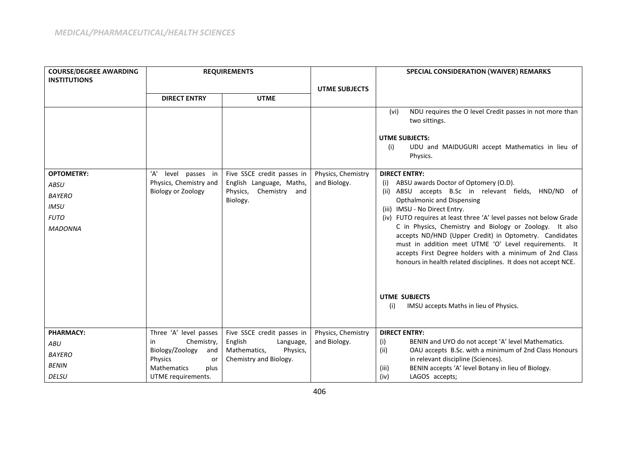| <b>COURSE/DEGREE AWARDING</b><br><b>INSTITUTIONS</b>                                              | <b>REQUIREMENTS</b>                                                           |                                                                                              |                                    | SPECIAL CONSIDERATION (WAIVER) REMARKS                                                                                                                                                                                                                                                                                                                                                                                                                                                                                                                                                                                                                           |  |
|---------------------------------------------------------------------------------------------------|-------------------------------------------------------------------------------|----------------------------------------------------------------------------------------------|------------------------------------|------------------------------------------------------------------------------------------------------------------------------------------------------------------------------------------------------------------------------------------------------------------------------------------------------------------------------------------------------------------------------------------------------------------------------------------------------------------------------------------------------------------------------------------------------------------------------------------------------------------------------------------------------------------|--|
|                                                                                                   |                                                                               |                                                                                              | <b>UTME SUBJECTS</b>               |                                                                                                                                                                                                                                                                                                                                                                                                                                                                                                                                                                                                                                                                  |  |
|                                                                                                   | <b>DIRECT ENTRY</b>                                                           | <b>UTME</b>                                                                                  |                                    |                                                                                                                                                                                                                                                                                                                                                                                                                                                                                                                                                                                                                                                                  |  |
|                                                                                                   |                                                                               |                                                                                              |                                    | NDU requires the O level Credit passes in not more than<br>(vi)<br>two sittings.<br><b>UTME SUBJECTS:</b><br>UDU and MAIDUGURI accept Mathematics in lieu of<br>(i)<br>Physics.                                                                                                                                                                                                                                                                                                                                                                                                                                                                                  |  |
| <b>OPTOMETRY:</b><br><b>ABSU</b><br><b>BAYERO</b><br><b>IMSU</b><br><b>FUTO</b><br><b>MADONNA</b> | 'A'<br>level passes in<br>Physics, Chemistry and<br><b>Biology or Zoology</b> | Five SSCE credit passes in<br>English Language, Maths,<br>Physics, Chemistry and<br>Biology. | Physics, Chemistry<br>and Biology. | <b>DIRECT ENTRY:</b><br>ABSU awards Doctor of Optomery (O.D).<br>(i)<br>ABSU accepts B.Sc in relevant fields, HND/ND of<br>(ii)<br><b>Opthalmonic and Dispensing</b><br>(iii) IMSU - No Direct Entry.<br>(iv) FUTO requires at least three 'A' level passes not below Grade<br>C in Physics, Chemistry and Biology or Zoology. It also<br>accepts ND/HND (Upper Credit) in Optometry. Candidates<br>must in addition meet UTME 'O' Level requirements. It<br>accepts First Degree holders with a minimum of 2nd Class<br>honours in health related disciplines. It does not accept NCE.<br><b>UTME SUBJECTS</b><br>IMSU accepts Maths in lieu of Physics.<br>(i) |  |
| <b>PHARMACY:</b>                                                                                  | Three 'A' level passes                                                        | Five SSCE credit passes in                                                                   | Physics, Chemistry                 | <b>DIRECT ENTRY:</b>                                                                                                                                                                                                                                                                                                                                                                                                                                                                                                                                                                                                                                             |  |
| ABU                                                                                               | Chemistry,<br>in                                                              | English<br>Language,                                                                         | and Biology.                       | BENIN and UYO do not accept 'A' level Mathematics.<br>(i)                                                                                                                                                                                                                                                                                                                                                                                                                                                                                                                                                                                                        |  |
| <b>BAYERO</b>                                                                                     | Biology/Zoology<br>and<br>Physics<br>or                                       | Mathematics,<br>Physics,<br>Chemistry and Biology.                                           |                                    | (ii)<br>OAU accepts B.Sc. with a minimum of 2nd Class Honours<br>in relevant discipline (Sciences).                                                                                                                                                                                                                                                                                                                                                                                                                                                                                                                                                              |  |
| <b>BENIN</b>                                                                                      | <b>Mathematics</b><br>plus                                                    |                                                                                              |                                    | BENIN accepts 'A' level Botany in lieu of Biology.<br>(iii)                                                                                                                                                                                                                                                                                                                                                                                                                                                                                                                                                                                                      |  |
| <b>DELSU</b>                                                                                      | UTME requirements.                                                            |                                                                                              |                                    | LAGOS accepts;<br>(iv)                                                                                                                                                                                                                                                                                                                                                                                                                                                                                                                                                                                                                                           |  |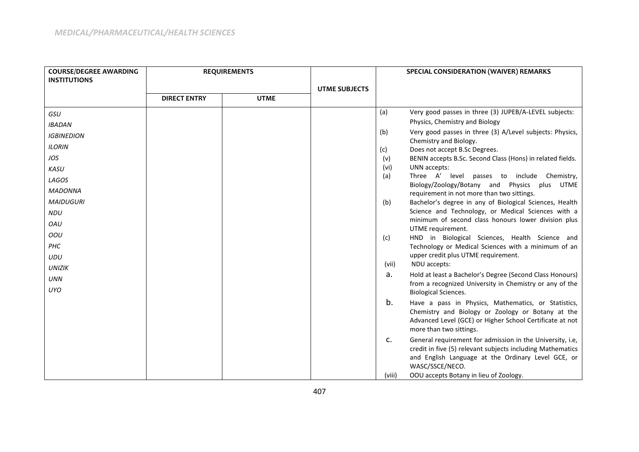| <b>COURSE/DEGREE AWARDING</b><br><b>INSTITUTIONS</b> | <b>REQUIREMENTS</b> |             |                      |        |                                                                                                                                                                               | SPECIAL CONSIDERATION (WAIVER) REMARKS |  |
|------------------------------------------------------|---------------------|-------------|----------------------|--------|-------------------------------------------------------------------------------------------------------------------------------------------------------------------------------|----------------------------------------|--|
|                                                      | <b>DIRECT ENTRY</b> | <b>UTME</b> | <b>UTME SUBJECTS</b> |        |                                                                                                                                                                               |                                        |  |
|                                                      |                     |             |                      | (a)    | Very good passes in three (3) JUPEB/A-LEVEL subjects:                                                                                                                         |                                        |  |
| GSU                                                  |                     |             |                      |        | Physics, Chemistry and Biology                                                                                                                                                |                                        |  |
| <b>IBADAN</b>                                        |                     |             |                      | (b)    | Very good passes in three (3) A/Level subjects: Physics,                                                                                                                      |                                        |  |
| <b>IGBINEDION</b>                                    |                     |             |                      |        | Chemistry and Biology.                                                                                                                                                        |                                        |  |
| <b>ILORIN</b>                                        |                     |             |                      | (c)    | Does not accept B.Sc Degrees.                                                                                                                                                 |                                        |  |
| JOS                                                  |                     |             |                      | (v)    | BENIN accepts B.Sc. Second Class (Hons) in related fields.                                                                                                                    |                                        |  |
| KASU                                                 |                     |             |                      | (vi)   | UNN accepts:                                                                                                                                                                  |                                        |  |
| LAGOS                                                |                     |             |                      | (a)    | Three A' level passes to include Chemistry,                                                                                                                                   |                                        |  |
| <b>MADONNA</b>                                       |                     |             |                      |        | Biology/Zoology/Botany and Physics<br>plus UTME<br>requirement in not more than two sittings.                                                                                 |                                        |  |
| <b>MAIDUGURI</b>                                     |                     |             |                      | (b)    | Bachelor's degree in any of Biological Sciences, Health                                                                                                                       |                                        |  |
| <b>NDU</b>                                           |                     |             |                      |        | Science and Technology, or Medical Sciences with a                                                                                                                            |                                        |  |
| OAU                                                  |                     |             |                      |        | minimum of second class honours lower division plus                                                                                                                           |                                        |  |
| OOU                                                  |                     |             |                      | (c)    | UTME requirement.<br>HND in Biological Sciences, Health Science and                                                                                                           |                                        |  |
| PHC                                                  |                     |             |                      |        | Technology or Medical Sciences with a minimum of an                                                                                                                           |                                        |  |
| <b>UDU</b>                                           |                     |             |                      |        | upper credit plus UTME requirement.                                                                                                                                           |                                        |  |
| <b>UNIZIK</b>                                        |                     |             |                      | (vii)  | NDU accepts:                                                                                                                                                                  |                                        |  |
| <b>UNN</b>                                           |                     |             |                      | а.     | Hold at least a Bachelor's Degree (Second Class Honours)                                                                                                                      |                                        |  |
| <b>UYO</b>                                           |                     |             |                      |        | from a recognized University in Chemistry or any of the<br><b>Biological Sciences.</b>                                                                                        |                                        |  |
|                                                      |                     |             |                      | b.     | Have a pass in Physics, Mathematics, or Statistics,                                                                                                                           |                                        |  |
|                                                      |                     |             |                      |        | Chemistry and Biology or Zoology or Botany at the                                                                                                                             |                                        |  |
|                                                      |                     |             |                      |        | Advanced Level (GCE) or Higher School Certificate at not<br>more than two sittings.                                                                                           |                                        |  |
|                                                      |                     |             |                      | c.     | General requirement for admission in the University, i.e,<br>credit in five (5) relevant subjects including Mathematics<br>and English Language at the Ordinary Level GCE, or |                                        |  |
|                                                      |                     |             |                      |        | WASC/SSCE/NECO.                                                                                                                                                               |                                        |  |
|                                                      |                     |             |                      | (viii) | OOU accepts Botany in lieu of Zoology.                                                                                                                                        |                                        |  |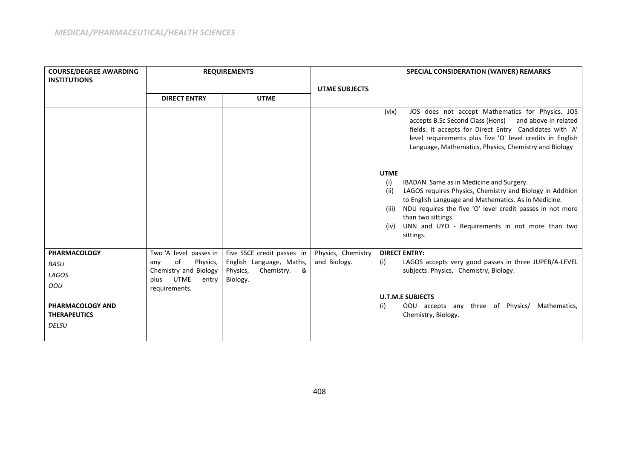| <b>COURSE/DEGREE AWARDING</b><br><b>INSTITUTIONS</b> | <b>REQUIREMENTS</b>                            |                                      |                      | SPECIAL CONSIDERATION (WAIVER) REMARKS                                                                                                                                                                                                                                                                                                                         |
|------------------------------------------------------|------------------------------------------------|--------------------------------------|----------------------|----------------------------------------------------------------------------------------------------------------------------------------------------------------------------------------------------------------------------------------------------------------------------------------------------------------------------------------------------------------|
|                                                      |                                                |                                      | <b>UTME SUBJECTS</b> |                                                                                                                                                                                                                                                                                                                                                                |
|                                                      | <b>DIRECT ENTRY</b>                            | <b>UTME</b>                          |                      |                                                                                                                                                                                                                                                                                                                                                                |
|                                                      |                                                |                                      |                      | JOS does not accept Mathematics for Physics. JOS<br>(vix)<br>accepts B.Sc Second Class (Hons)<br>and above in related<br>fields. It accepts for Direct Entry Candidates with 'A'<br>level requirements plus five 'O' level credits in English<br>Language, Mathematics, Physics, Chemistry and Biology                                                         |
|                                                      |                                                |                                      |                      | <b>UTME</b><br>(i)<br>IBADAN Same as in Medicine and Surgery.<br>LAGOS requires Physics, Chemistry and Biology in Addition<br>(ii)<br>to English Language and Mathematics. As in Medicine.<br>NDU requires the five 'O' level credit passes in not more<br>(iii)<br>than two sittings.<br>UNN and UYO - Requirements in not more than two<br>(iv)<br>sittings. |
| <b>PHARMACOLOGY</b>                                  | Two 'A' level passes in                        | Five SSCE credit passes in           | Physics, Chemistry   | <b>DIRECT ENTRY:</b>                                                                                                                                                                                                                                                                                                                                           |
| <b>BASU</b>                                          | of<br>Physics,<br>any                          | English Language, Maths,             | and Biology.         | LAGOS accepts very good passes in three JUPEB/A-LEVEL<br>(i)                                                                                                                                                                                                                                                                                                   |
| LAGOS                                                | Chemistry and Biology<br>UTME<br>plus<br>entry | Chemistry. &<br>Physics,<br>Biology. |                      | subjects: Physics, Chemistry, Biology.                                                                                                                                                                                                                                                                                                                         |
| OOU                                                  | requirements.                                  |                                      |                      |                                                                                                                                                                                                                                                                                                                                                                |
|                                                      |                                                |                                      |                      | <b>U.T.M.E SUBJECTS</b>                                                                                                                                                                                                                                                                                                                                        |
| <b>PHARMACOLOGY AND</b>                              |                                                |                                      |                      | OOU accepts any three of Physics/ Mathematics,<br>(i)                                                                                                                                                                                                                                                                                                          |
| <b>THERAPEUTICS</b>                                  |                                                |                                      |                      | Chemistry, Biology.                                                                                                                                                                                                                                                                                                                                            |
| <b>DELSU</b>                                         |                                                |                                      |                      |                                                                                                                                                                                                                                                                                                                                                                |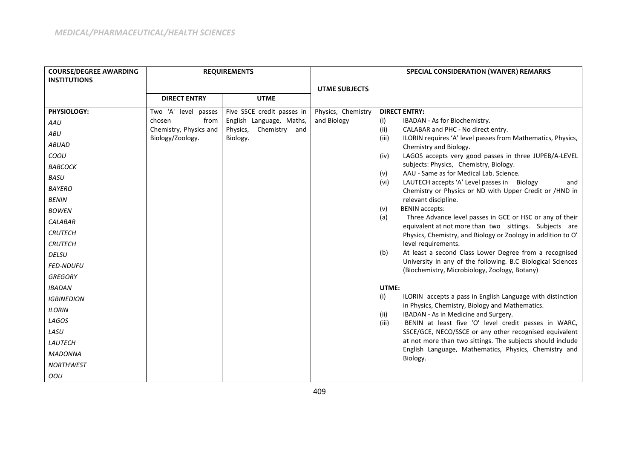| <b>COURSE/DEGREE AWARDING</b> |                                            | <b>REQUIREMENTS</b>        |                      | SPECIAL CONSIDERATION (WAIVER) REMARKS                                                                                 |
|-------------------------------|--------------------------------------------|----------------------------|----------------------|------------------------------------------------------------------------------------------------------------------------|
| <b>INSTITUTIONS</b>           |                                            |                            |                      |                                                                                                                        |
|                               |                                            |                            | <b>UTME SUBJECTS</b> |                                                                                                                        |
|                               | <b>DIRECT ENTRY</b>                        | <b>UTME</b>                |                      |                                                                                                                        |
| PHYSIOLOGY:                   | Two 'A' level passes                       | Five SSCE credit passes in | Physics, Chemistry   | <b>DIRECT ENTRY:</b>                                                                                                   |
| AAU                           | from<br>chosen                             | English Language, Maths,   | and Biology          | (i)<br>IBADAN - As for Biochemistry.                                                                                   |
| ABU                           | Chemistry, Physics and<br>Biology/Zoology. | Chemistry and<br>Physics,  |                      | (ii)<br>CALABAR and PHC - No direct entry.<br>(iii)<br>ILORIN requires 'A' level passes from Mathematics, Physics,     |
| <b>ABUAD</b>                  |                                            | Biology.                   |                      | Chemistry and Biology.                                                                                                 |
| COOU                          |                                            |                            |                      | LAGOS accepts very good passes in three JUPEB/A-LEVEL<br>(iv)                                                          |
| ВАВСОСК                       |                                            |                            |                      | subjects: Physics, Chemistry, Biology.                                                                                 |
| <b>BASU</b>                   |                                            |                            |                      | AAU - Same as for Medical Lab. Science.<br>(v)                                                                         |
| <b>BAYERO</b>                 |                                            |                            |                      | LAUTECH accepts 'A' Level passes in Biology<br>(vi)<br>and<br>Chemistry or Physics or ND with Upper Credit or /HND in  |
| <b>BENIN</b>                  |                                            |                            |                      | relevant discipline.                                                                                                   |
| <b>BOWEN</b>                  |                                            |                            |                      | <b>BENIN</b> accepts:<br>(v)                                                                                           |
| <b>CALABAR</b>                |                                            |                            |                      | (a)<br>Three Advance level passes in GCE or HSC or any of their                                                        |
| <b>CRUTECH</b>                |                                            |                            |                      | equivalent at not more than two sittings. Subjects are<br>Physics, Chemistry, and Biology or Zoology in addition to O' |
| <b>CRUTECH</b>                |                                            |                            |                      | level requirements.                                                                                                    |
| <b>DELSU</b>                  |                                            |                            |                      | At least a second Class Lower Degree from a recognised<br>(b)                                                          |
| <b>FED-NDUFU</b>              |                                            |                            |                      | University in any of the following. B.C Biological Sciences<br>(Biochemistry, Microbiology, Zoology, Botany)           |
| <b>GREGORY</b>                |                                            |                            |                      |                                                                                                                        |
| <b>IBADAN</b>                 |                                            |                            |                      | UTME:                                                                                                                  |
| <b>IGBINEDION</b>             |                                            |                            |                      | (i)<br>ILORIN accepts a pass in English Language with distinction                                                      |
| <b>ILORIN</b>                 |                                            |                            |                      | in Physics, Chemistry, Biology and Mathematics.<br>IBADAN - As in Medicine and Surgery.<br>(ii)                        |
| LAGOS                         |                                            |                            |                      | BENIN at least five 'O' level credit passes in WARC,<br>(iii)                                                          |
| LASU                          |                                            |                            |                      | SSCE/GCE, NECO/SSCE or any other recognised equivalent                                                                 |
| LAUTECH                       |                                            |                            |                      | at not more than two sittings. The subjects should include                                                             |
| <b>MADONNA</b>                |                                            |                            |                      | English Language, Mathematics, Physics, Chemistry and<br>Biology.                                                      |
| <b>NORTHWEST</b>              |                                            |                            |                      |                                                                                                                        |
| OOU                           |                                            |                            |                      |                                                                                                                        |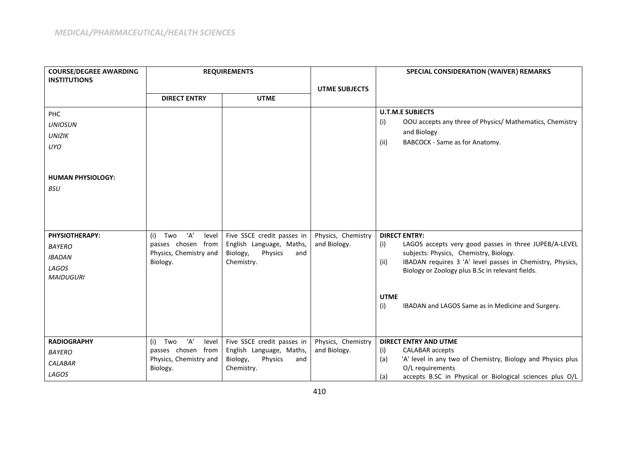| <b>COURSE/DEGREE AWARDING</b>                                                        |                                                                                        | <b>REQUIREMENTS</b>                                                                                |                                    | SPECIAL CONSIDERATION (WAIVER) REMARKS                                                                                                                                                                                                                                                                                             |
|--------------------------------------------------------------------------------------|----------------------------------------------------------------------------------------|----------------------------------------------------------------------------------------------------|------------------------------------|------------------------------------------------------------------------------------------------------------------------------------------------------------------------------------------------------------------------------------------------------------------------------------------------------------------------------------|
| <b>INSTITUTIONS</b>                                                                  |                                                                                        |                                                                                                    | <b>UTME SUBJECTS</b>               |                                                                                                                                                                                                                                                                                                                                    |
|                                                                                      | <b>DIRECT ENTRY</b>                                                                    | <b>UTME</b>                                                                                        |                                    |                                                                                                                                                                                                                                                                                                                                    |
| PHC<br><b>UNIOSUN</b><br><b>UNIZIK</b><br><b>UYO</b>                                 |                                                                                        |                                                                                                    |                                    | <b>U.T.M.E SUBJECTS</b><br>OOU accepts any three of Physics/ Mathematics, Chemistry<br>(i)<br>and Biology<br>BABCOCK - Same as for Anatomy.<br>(ii)                                                                                                                                                                                |
| <b>HUMAN PHYSIOLOGY:</b><br><b>BSU</b>                                               |                                                                                        |                                                                                                    |                                    |                                                                                                                                                                                                                                                                                                                                    |
| <b>PHYSIOTHERAPY:</b><br><b>BAYERO</b><br><b>IBADAN</b><br>LAGOS<br><b>MAIDUGURI</b> | ʻA'<br>Two<br>(i)<br>level<br>passes chosen from<br>Physics, Chemistry and<br>Biology. | Five SSCE credit passes in<br>English Language, Maths,<br>Biology,<br>Physics<br>and<br>Chemistry. | Physics, Chemistry<br>and Biology. | <b>DIRECT ENTRY:</b><br>LAGOS accepts very good passes in three JUPEB/A-LEVEL<br>(i)<br>subjects: Physics, Chemistry, Biology.<br>IBADAN requires 3 'A' level passes in Chemistry, Physics,<br>(ii)<br>Biology or Zoology plus B.Sc in relevant fields.<br><b>UTME</b><br>(i)<br>IBADAN and LAGOS Same as in Medicine and Surgery. |
| <b>RADIOGRAPHY</b><br><b>BAYERO</b><br>CALABAR<br>LAGOS                              | 'A'<br>(i) Two<br>level<br>passes chosen from<br>Physics, Chemistry and<br>Biology.    | Five SSCE credit passes in<br>English Language, Maths,<br>Biology,<br>Physics<br>and<br>Chemistry. | Physics, Chemistry<br>and Biology. | <b>DIRECT ENTRY AND UTME</b><br>CALABAR accepts<br>(i)<br>'A' level in any two of Chemistry, Biology and Physics plus<br>(a)<br>O/L requirements<br>accepts B.SC in Physical or Biological sciences plus O/L<br>(a)                                                                                                                |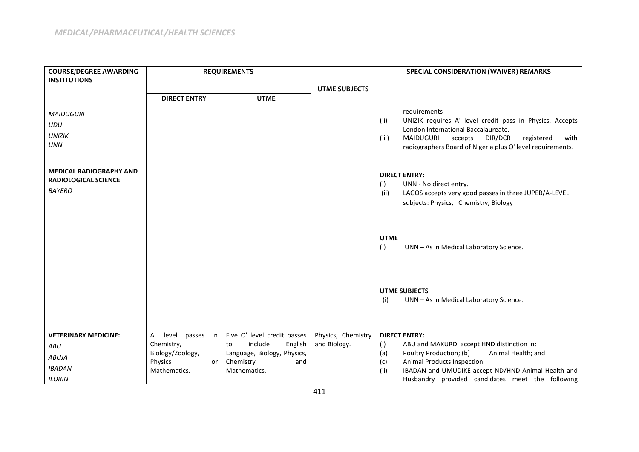| <b>COURSE/DEGREE AWARDING</b>                                 |                               | <b>REQUIREMENTS</b>              |                      | <b>SPECIAL CONSIDERATION (WAIVER) REMARKS</b>                                                    |
|---------------------------------------------------------------|-------------------------------|----------------------------------|----------------------|--------------------------------------------------------------------------------------------------|
| <b>INSTITUTIONS</b>                                           |                               |                                  |                      |                                                                                                  |
|                                                               | <b>DIRECT ENTRY</b>           | <b>UTME</b>                      | <b>UTME SUBJECTS</b> |                                                                                                  |
|                                                               |                               |                                  |                      |                                                                                                  |
| <b>MAIDUGURI</b>                                              |                               |                                  |                      | requirements<br>UNIZIK requires A' level credit pass in Physics. Accepts<br>(ii)                 |
| UDU                                                           |                               |                                  |                      | London International Baccalaureate.                                                              |
| <b>UNIZIK</b>                                                 |                               |                                  |                      | <b>MAIDUGURI</b><br>DIR/DCR<br>accepts<br>(iii)<br>registered<br>with                            |
| <b>UNN</b>                                                    |                               |                                  |                      | radiographers Board of Nigeria plus O' level requirements.                                       |
|                                                               |                               |                                  |                      |                                                                                                  |
| <b>MEDICAL RADIOGRAPHY AND</b><br><b>RADIOLOGICAL SCIENCE</b> |                               |                                  |                      | <b>DIRECT ENTRY:</b>                                                                             |
| <b>BAYERO</b>                                                 |                               |                                  |                      | (i)<br>UNN - No direct entry.                                                                    |
|                                                               |                               |                                  |                      | (ii)<br>LAGOS accepts very good passes in three JUPEB/A-LEVEL                                    |
|                                                               |                               |                                  |                      | subjects: Physics, Chemistry, Biology                                                            |
|                                                               |                               |                                  |                      |                                                                                                  |
|                                                               |                               |                                  |                      | <b>UTME</b>                                                                                      |
|                                                               |                               |                                  |                      | (i)<br>UNN - As in Medical Laboratory Science.                                                   |
|                                                               |                               |                                  |                      |                                                                                                  |
|                                                               |                               |                                  |                      |                                                                                                  |
|                                                               |                               |                                  |                      | <b>UTME SUBJECTS</b>                                                                             |
|                                                               |                               |                                  |                      | (i)<br>UNN - As in Medical Laboratory Science.                                                   |
|                                                               |                               |                                  |                      |                                                                                                  |
|                                                               |                               |                                  |                      |                                                                                                  |
| <b>VETERINARY MEDICINE:</b>                                   | A'<br>level passes in         | Five O' level credit passes      | Physics, Chemistry   | <b>DIRECT ENTRY:</b>                                                                             |
| ABU                                                           | Chemistry,                    | include<br>English<br>to         | and Biology.         | ABU and MAKURDI accept HND distinction in:<br>(i)                                                |
| <b>ABUJA</b>                                                  | Biology/Zoology,              | Language, Biology, Physics,      |                      | Poultry Production; (b)<br>Animal Health; and<br>(a)                                             |
| <b>IBADAN</b>                                                 | Physics<br>or<br>Mathematics. | Chemistry<br>and<br>Mathematics. |                      | Animal Products Inspection.<br>(c)<br>(ii)<br>IBADAN and UMUDIKE accept ND/HND Animal Health and |
| <b>ILORIN</b>                                                 |                               |                                  |                      | Husbandry provided candidates meet the following                                                 |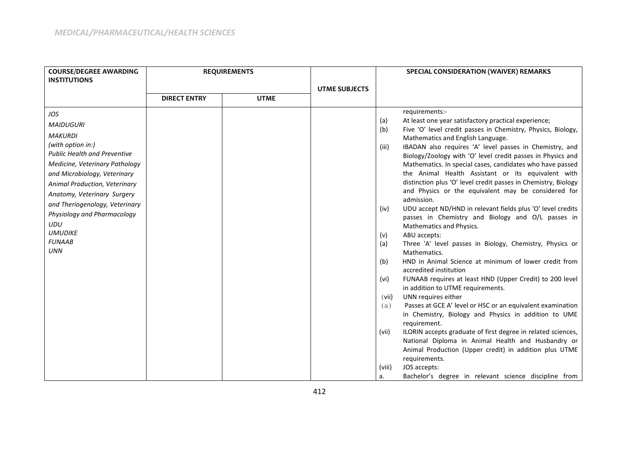| <b>COURSE/DEGREE AWARDING</b><br><b>INSTITUTIONS</b> | <b>REQUIREMENTS</b> |             | <b>UTME SUBJECTS</b> |            | <b>SPECIAL CONSIDERATION (WAIVER) REMARKS</b>                                                                |
|------------------------------------------------------|---------------------|-------------|----------------------|------------|--------------------------------------------------------------------------------------------------------------|
|                                                      | <b>DIRECT ENTRY</b> | <b>UTME</b> |                      |            |                                                                                                              |
| JOS                                                  |                     |             |                      |            | requirements:-                                                                                               |
| <b>MAIDUGURI</b>                                     |                     |             |                      | (a)        | At least one year satisfactory practical experience;                                                         |
| <b>MAKURDI</b>                                       |                     |             |                      | (b)        | Five 'O' level credit passes in Chemistry, Physics, Biology,<br>Mathematics and English Language.            |
| (with option in:)                                    |                     |             |                      | (iii)      | IBADAN also requires 'A' level passes in Chemistry, and                                                      |
| <b>Public Health and Preventive</b>                  |                     |             |                      |            | Biology/Zoology with 'O' level credit passes in Physics and                                                  |
| Medicine, Veterinary Pathology                       |                     |             |                      |            | Mathematics. In special cases, candidates who have passed                                                    |
| and Microbiology, Veterinary                         |                     |             |                      |            | the Animal Health Assistant or its equivalent with                                                           |
| Animal Production, Veterinary                        |                     |             |                      |            | distinction plus 'O' level credit passes in Chemistry, Biology                                               |
| Anatomy, Veterinary Surgery                          |                     |             |                      |            | and Physics or the equivalent may be considered for                                                          |
| and Theriogenology, Veterinary                       |                     |             |                      |            | admission.                                                                                                   |
| Physiology and Pharmacology                          |                     |             |                      | (iv)       | UDU accept ND/HND in relevant fields plus 'O' level credits                                                  |
| UDU                                                  |                     |             |                      |            | passes in Chemistry and Biology and O/L passes in                                                            |
| <b>UMUDIKE</b>                                       |                     |             |                      |            | Mathematics and Physics.                                                                                     |
| <b>FUNAAB</b>                                        |                     |             |                      | (v)<br>(a) | ABU accepts:<br>Three 'A' level passes in Biology, Chemistry, Physics or                                     |
| <b>UNN</b>                                           |                     |             |                      |            | Mathematics.                                                                                                 |
|                                                      |                     |             |                      | (b)        | HND in Animal Science at minimum of lower credit from                                                        |
|                                                      |                     |             |                      |            | accredited institution                                                                                       |
|                                                      |                     |             |                      | (vi)       | FUNAAB requires at least HND (Upper Credit) to 200 level                                                     |
|                                                      |                     |             |                      |            | in addition to UTME requirements.                                                                            |
|                                                      |                     |             |                      | (vii)      | UNN requires either                                                                                          |
|                                                      |                     |             |                      | (a)        | Passes at GCE A' level or HSC or an equivalent examination                                                   |
|                                                      |                     |             |                      |            | in Chemistry, Biology and Physics in addition to UME                                                         |
|                                                      |                     |             |                      |            | requirement.                                                                                                 |
|                                                      |                     |             |                      | (vii)      | ILORIN accepts graduate of first degree in related sciences,                                                 |
|                                                      |                     |             |                      |            | National Diploma in Animal Health and Husbandry or<br>Animal Production (Upper credit) in addition plus UTME |
|                                                      |                     |             |                      |            | requirements.                                                                                                |
|                                                      |                     |             |                      | (viii)     | JOS accepts:                                                                                                 |
|                                                      |                     |             |                      | a.         | Bachelor's degree in relevant science discipline from                                                        |